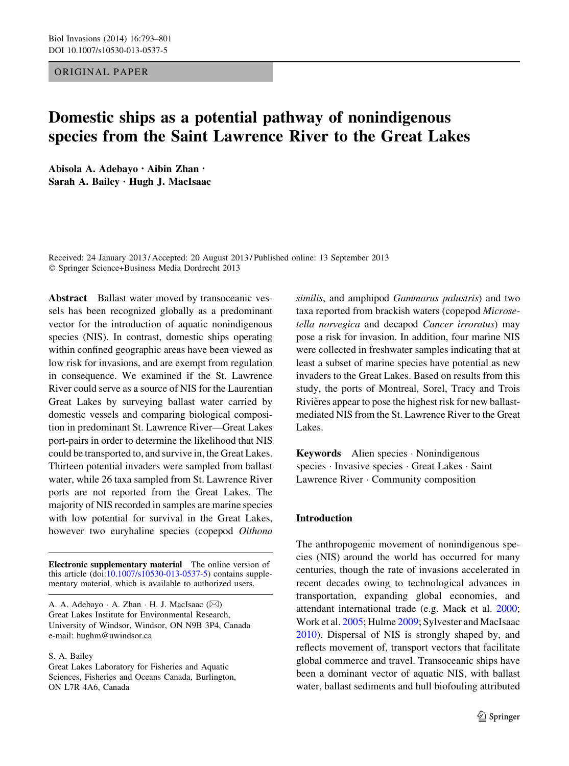## ORIGINAL PAPER

# Domestic ships as a potential pathway of nonindigenous species from the Saint Lawrence River to the Great Lakes

Abisola A. Adebayo • Aibin Zhan • Sarah A. Bailey • Hugh J. MacIsaac

Received: 24 January 2013 / Accepted: 20 August 2013 / Published online: 13 September 2013 - Springer Science+Business Media Dordrecht 2013

Abstract Ballast water moved by transoceanic vessels has been recognized globally as a predominant vector for the introduction of aquatic nonindigenous species (NIS). In contrast, domestic ships operating within confined geographic areas have been viewed as low risk for invasions, and are exempt from regulation in consequence. We examined if the St. Lawrence River could serve as a source of NIS for the Laurentian Great Lakes by surveying ballast water carried by domestic vessels and comparing biological composition in predominant St. Lawrence River—Great Lakes port-pairs in order to determine the likelihood that NIS could be transported to, and survive in, the Great Lakes. Thirteen potential invaders were sampled from ballast water, while 26 taxa sampled from St. Lawrence River ports are not reported from the Great Lakes. The majority of NIS recorded in samples are marine species with low potential for survival in the Great Lakes, however two euryhaline species (copepod Oithona

Electronic supplementary material The online version of this article (doi[:10.1007/s10530-013-0537-5\)](http://dx.doi.org/10.1007/s10530-013-0537-5) contains supplementary material, which is available to authorized users.

A. A. Adebayo · A. Zhan · H. J. MacIsaac (⊠) Great Lakes Institute for Environmental Research, University of Windsor, Windsor, ON N9B 3P4, Canada e-mail: hughm@uwindsor.ca

S. A. Bailey

similis, and amphipod Gammarus palustris) and two taxa reported from brackish waters (copepod Microsetella norvegica and decapod Cancer irroratus) may pose a risk for invasion. In addition, four marine NIS were collected in freshwater samples indicating that at least a subset of marine species have potential as new invaders to the Great Lakes. Based on results from this study, the ports of Montreal, Sorel, Tracy and Trois Rivières appear to pose the highest risk for new ballastmediated NIS from the St. Lawrence River to the Great Lakes.

Keywords Alien species - Nonindigenous species - Invasive species - Great Lakes - Saint Lawrence River - Community composition

#### Introduction

The anthropogenic movement of nonindigenous species (NIS) around the world has occurred for many centuries, though the rate of invasions accelerated in recent decades owing to technological advances in transportation, expanding global economies, and attendant international trade (e.g. Mack et al. [2000](#page-8-0); Work et al. [2005](#page-8-0); Hulme [2009;](#page-7-0) Sylvester and MacIsaac [2010\)](#page-8-0). Dispersal of NIS is strongly shaped by, and reflects movement of, transport vectors that facilitate global commerce and travel. Transoceanic ships have been a dominant vector of aquatic NIS, with ballast water, ballast sediments and hull biofouling attributed

Great Lakes Laboratory for Fisheries and Aquatic Sciences, Fisheries and Oceans Canada, Burlington, ON L7R 4A6, Canada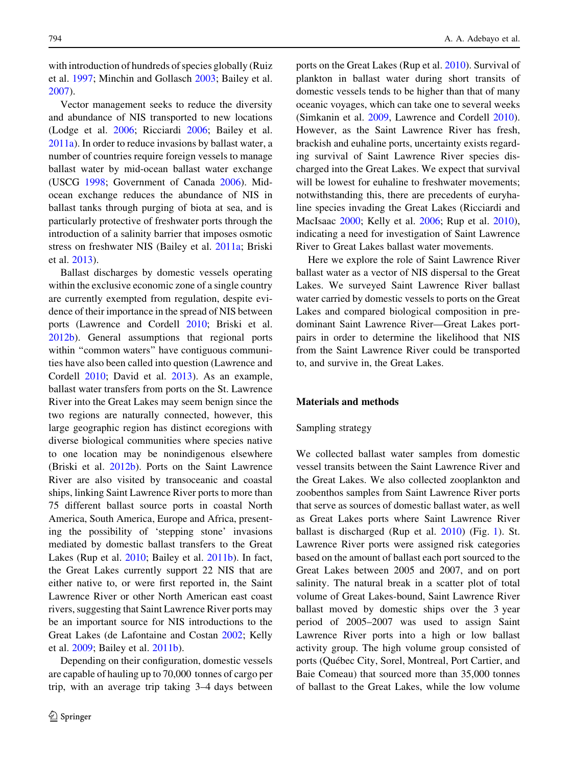with introduction of hundreds of species globally (Ruiz et al. [1997;](#page-8-0) Minchin and Gollasch [2003;](#page-8-0) Bailey et al. [2007\)](#page-7-0).

Vector management seeks to reduce the diversity and abundance of NIS transported to new locations (Lodge et al. [2006](#page-8-0); Ricciardi [2006;](#page-8-0) Bailey et al. [2011a](#page-7-0)). In order to reduce invasions by ballast water, a number of countries require foreign vessels to manage ballast water by mid-ocean ballast water exchange (USCG [1998](#page-8-0); Government of Canada [2006\)](#page-7-0). Midocean exchange reduces the abundance of NIS in ballast tanks through purging of biota at sea, and is particularly protective of freshwater ports through the introduction of a salinity barrier that imposes osmotic stress on freshwater NIS (Bailey et al. [2011a;](#page-7-0) Briski et al. [2013](#page-7-0)).

Ballast discharges by domestic vessels operating within the exclusive economic zone of a single country are currently exempted from regulation, despite evidence of their importance in the spread of NIS between ports (Lawrence and Cordell [2010](#page-7-0); Briski et al. [2012b\)](#page-7-0). General assumptions that regional ports within "common waters" have contiguous communities have also been called into question (Lawrence and Cordell [2010;](#page-7-0) David et al. [2013\)](#page-7-0). As an example, ballast water transfers from ports on the St. Lawrence River into the Great Lakes may seem benign since the two regions are naturally connected, however, this large geographic region has distinct ecoregions with diverse biological communities where species native to one location may be nonindigenous elsewhere (Briski et al. [2012b](#page-7-0)). Ports on the Saint Lawrence River are also visited by transoceanic and coastal ships, linking Saint Lawrence River ports to more than 75 different ballast source ports in coastal North America, South America, Europe and Africa, presenting the possibility of 'stepping stone' invasions mediated by domestic ballast transfers to the Great Lakes (Rup et al. [2010](#page-8-0); Bailey et al. [2011b](#page-7-0)). In fact, the Great Lakes currently support 22 NIS that are either native to, or were first reported in, the Saint Lawrence River or other North American east coast rivers, suggesting that Saint Lawrence River ports may be an important source for NIS introductions to the Great Lakes (de Lafontaine and Costan [2002](#page-7-0); Kelly et al. [2009](#page-7-0); Bailey et al. [2011b\)](#page-7-0).

Depending on their configuration, domestic vessels are capable of hauling up to 70,000 tonnes of cargo per trip, with an average trip taking 3–4 days between ports on the Great Lakes (Rup et al. [2010\)](#page-8-0). Survival of plankton in ballast water during short transits of domestic vessels tends to be higher than that of many oceanic voyages, which can take one to several weeks (Simkanin et al. [2009](#page-8-0), Lawrence and Cordell [2010](#page-7-0)). However, as the Saint Lawrence River has fresh, brackish and euhaline ports, uncertainty exists regarding survival of Saint Lawrence River species discharged into the Great Lakes. We expect that survival will be lowest for euhaline to freshwater movements; notwithstanding this, there are precedents of euryhaline species invading the Great Lakes (Ricciardi and MacIsaac [2000;](#page-8-0) Kelly et al. [2006](#page-7-0); Rup et al. [2010](#page-8-0)), indicating a need for investigation of Saint Lawrence River to Great Lakes ballast water movements.

Here we explore the role of Saint Lawrence River ballast water as a vector of NIS dispersal to the Great Lakes. We surveyed Saint Lawrence River ballast water carried by domestic vessels to ports on the Great Lakes and compared biological composition in predominant Saint Lawrence River—Great Lakes portpairs in order to determine the likelihood that NIS from the Saint Lawrence River could be transported to, and survive in, the Great Lakes.

## Materials and methods

#### Sampling strategy

We collected ballast water samples from domestic vessel transits between the Saint Lawrence River and the Great Lakes. We also collected zooplankton and zoobenthos samples from Saint Lawrence River ports that serve as sources of domestic ballast water, as well as Great Lakes ports where Saint Lawrence River ballast is discharged (Rup et al. [2010](#page-8-0)) (Fig. [1](#page-2-0)). St. Lawrence River ports were assigned risk categories based on the amount of ballast each port sourced to the Great Lakes between 2005 and 2007, and on port salinity. The natural break in a scatter plot of total volume of Great Lakes-bound, Saint Lawrence River ballast moved by domestic ships over the 3 year period of 2005–2007 was used to assign Saint Lawrence River ports into a high or low ballast activity group. The high volume group consisted of ports (Québec City, Sorel, Montreal, Port Cartier, and Baie Comeau) that sourced more than 35,000 tonnes of ballast to the Great Lakes, while the low volume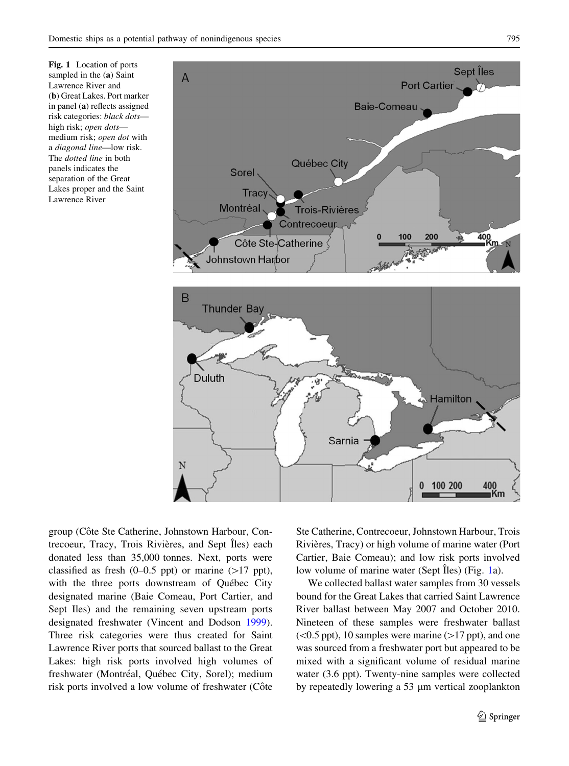<span id="page-2-0"></span>Fig. 1 Location of ports sampled in the (a) Saint Lawrence River and (b) Great Lakes. Port marker in panel (a) reflects assigned risk categories: black dots high risk; open dots medium risk; open dot with a diagonal line—low risk. The dotted line in both panels indicates the separation of the Great Lakes proper and the Saint Lawrence River



group (Côte Ste Catherine, Johnstown Harbour, Contrecoeur, Tracy, Trois Rivières, and Sept Îles) each donated less than 35,000 tonnes. Next, ports were classified as fresh  $(0-0.5 \text{ ppt})$  or marine  $(>17 \text{ ppt})$ , with the three ports downstream of Québec City designated marine (Baie Comeau, Port Cartier, and Sept Iles) and the remaining seven upstream ports designated freshwater (Vincent and Dodson [1999](#page-8-0)). Three risk categories were thus created for Saint Lawrence River ports that sourced ballast to the Great Lakes: high risk ports involved high volumes of freshwater (Montréal, Québec City, Sorel); medium risk ports involved a low volume of freshwater (Côte

Ste Catherine, Contrecoeur, Johnstown Harbour, Trois Rivières, Tracy) or high volume of marine water (Port Cartier, Baie Comeau); and low risk ports involved low volume of marine water (Sept  $\hat{I}$ les) (Fig. 1a).

We collected ballast water samples from 30 vessels bound for the Great Lakes that carried Saint Lawrence River ballast between May 2007 and October 2010. Nineteen of these samples were freshwater ballast  $(<0.5$  ppt), 10 samples were marine ( $>17$  ppt), and one was sourced from a freshwater port but appeared to be mixed with a significant volume of residual marine water (3.6 ppt). Twenty-nine samples were collected by repeatedly lowering a 53 um vertical zooplankton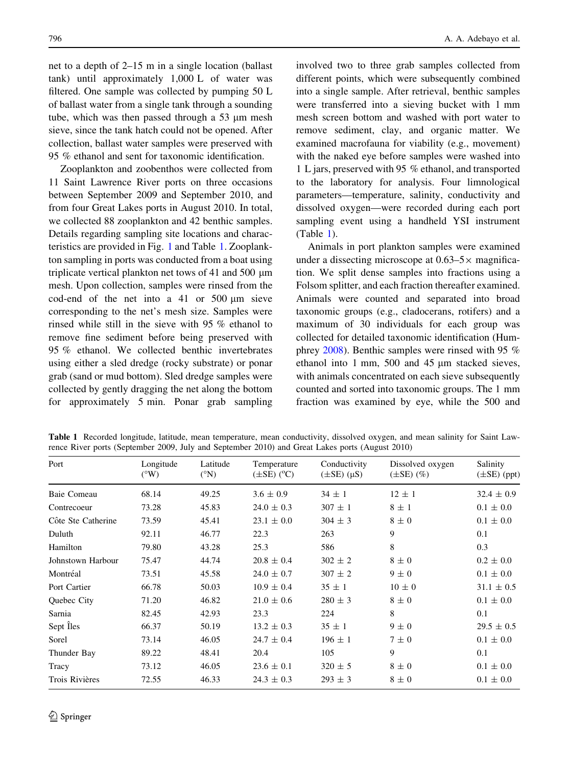net to a depth of 2–15 m in a single location (ballast tank) until approximately 1,000 L of water was filtered. One sample was collected by pumping 50 L of ballast water from a single tank through a sounding tube, which was then passed through a  $53 \mu m$  mesh sieve, since the tank hatch could not be opened. After collection, ballast water samples were preserved with 95 % ethanol and sent for taxonomic identification.

Zooplankton and zoobenthos were collected from 11 Saint Lawrence River ports on three occasions between September 2009 and September 2010, and from four Great Lakes ports in August 2010. In total, we collected 88 zooplankton and 42 benthic samples. Details regarding sampling site locations and characteristics are provided in Fig. [1](#page-2-0) and Table 1. Zooplankton sampling in ports was conducted from a boat using triplicate vertical plankton net tows of 41 and 500  $\mu$ m mesh. Upon collection, samples were rinsed from the cod-end of the net into a 41 or  $500 \mu m$  sieve corresponding to the net's mesh size. Samples were rinsed while still in the sieve with 95 % ethanol to remove fine sediment before being preserved with 95 % ethanol. We collected benthic invertebrates using either a sled dredge (rocky substrate) or ponar grab (sand or mud bottom). Sled dredge samples were collected by gently dragging the net along the bottom for approximately 5 min. Ponar grab sampling involved two to three grab samples collected from different points, which were subsequently combined into a single sample. After retrieval, benthic samples were transferred into a sieving bucket with 1 mm mesh screen bottom and washed with port water to remove sediment, clay, and organic matter. We examined macrofauna for viability (e.g., movement) with the naked eye before samples were washed into 1 L jars, preserved with 95 % ethanol, and transported to the laboratory for analysis. Four limnological parameters—temperature, salinity, conductivity and

Animals in port plankton samples were examined under a dissecting microscope at  $0.63-5\times$  magnification. We split dense samples into fractions using a Folsom splitter, and each fraction thereafter examined. Animals were counted and separated into broad taxonomic groups (e.g., cladocerans, rotifers) and a maximum of 30 individuals for each group was collected for detailed taxonomic identification (Humphrey [2008\)](#page-7-0). Benthic samples were rinsed with 95 % ethanol into 1 mm, 500 and 45  $\mu$ m stacked sieves, with animals concentrated on each sieve subsequently counted and sorted into taxonomic groups. The 1 mm fraction was examined by eye, while the 500 and

dissolved oxygen—were recorded during each port sampling event using a handheld YSI instrument

Table 1 Recorded longitude, latitude, mean temperature, mean conductivity, dissolved oxygen, and mean salinity for Saint Lawrence River ports (September 2009, July and September 2010) and Great Lakes ports (August 2010)

(Table 1).

| Port               | Longitude<br>Latitude<br>Temperature<br>$(\pm SE)$ (°C)<br>$(^{\circ}W)$<br>$({}^{\circ}N)$<br>$(\pm SE)$ $(\mu S)$ |       | Conductivity   | Dissolved oxygen<br>$(\pm SE)$ $(\%)$ | Salinity<br>$(\pm SE)$ (ppt) |                |  |
|--------------------|---------------------------------------------------------------------------------------------------------------------|-------|----------------|---------------------------------------|------------------------------|----------------|--|
| Baie Comeau        | 68.14                                                                                                               | 49.25 | $3.6 \pm 0.9$  | $34 \pm 1$                            | $12 \pm 1$                   | $32.4 \pm 0.9$ |  |
| Contrecoeur        | 73.28                                                                                                               | 45.83 | $24.0 \pm 0.3$ | $307 \pm 1$                           | $8 \pm 1$                    | $0.1 \pm 0.0$  |  |
| Côte Ste Catherine | 73.59                                                                                                               | 45.41 | $23.1 \pm 0.0$ | $304 \pm 3$                           | $8\pm0$                      | $0.1 \pm 0.0$  |  |
| Duluth             | 92.11                                                                                                               | 46.77 | 22.3           | 263                                   | 9                            | 0.1            |  |
| Hamilton           | 79.80                                                                                                               | 43.28 | 25.3           | 586                                   | 8                            | 0.3            |  |
| Johnstown Harbour  | 75.47                                                                                                               | 44.74 | $20.8 \pm 0.4$ | $302 \pm 2$                           | $8\pm0$                      | $0.2 \pm 0.0$  |  |
| Montréal           | 73.51                                                                                                               | 45.58 | $24.0 \pm 0.7$ | $307 \pm 2$                           | $9 \pm 0$                    | $0.1 \pm 0.0$  |  |
| Port Cartier       | 66.78                                                                                                               | 50.03 | $10.9 \pm 0.4$ | $35 \pm 1$                            | $10 \pm 0$                   | $31.1 \pm 0.5$ |  |
| Quebec City        | 71.20                                                                                                               | 46.82 | $21.0 \pm 0.6$ | $280 \pm 3$                           | $8\pm0$                      | $0.1 \pm 0.0$  |  |
| Sarnia             | 82.45                                                                                                               | 42.93 | 23.3           | 224                                   | 8                            | 0.1            |  |
| Sept Iles          | 66.37                                                                                                               | 50.19 | $13.2 \pm 0.3$ | $35 \pm 1$                            | $9 \pm 0$                    | $29.5 \pm 0.5$ |  |
| Sorel              | 73.14                                                                                                               | 46.05 | $24.7 \pm 0.4$ | $196 \pm 1$                           | $7\pm0$                      | $0.1 \pm 0.0$  |  |
| Thunder Bay        | 89.22                                                                                                               | 48.41 | 20.4           | 105                                   | 9                            | 0.1            |  |
| Tracy              | 73.12                                                                                                               | 46.05 | $23.6 \pm 0.1$ | $320 \pm 5$                           | $8\pm0$                      | $0.1 \pm 0.0$  |  |
| Trois Rivières     | 72.55                                                                                                               | 46.33 | $24.3 \pm 0.3$ | $293 \pm 3$                           | $8\pm0$                      | $0.1 \pm 0.0$  |  |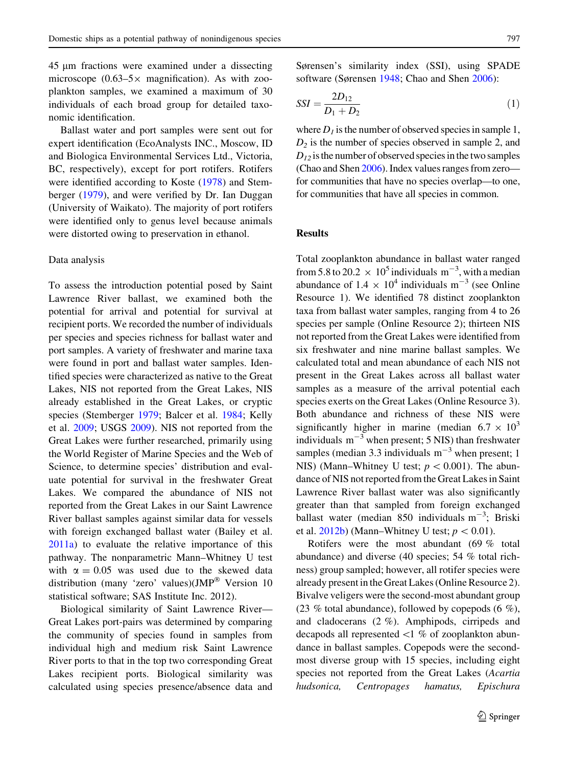45 lm fractions were examined under a dissecting microscope (0.63–5 $\times$  magnification). As with zooplankton samples, we examined a maximum of 30 individuals of each broad group for detailed taxonomic identification.

Ballast water and port samples were sent out for expert identification (EcoAnalysts INC., Moscow, ID and Biologica Environmental Services Ltd., Victoria, BC, respectively), except for port rotifers. Rotifers were identified according to Koste [\(1978](#page-7-0)) and Stemberger [\(1979](#page-8-0)), and were verified by Dr. Ian Duggan (University of Waikato). The majority of port rotifers were identified only to genus level because animals were distorted owing to preservation in ethanol.

#### Data analysis

To assess the introduction potential posed by Saint Lawrence River ballast, we examined both the potential for arrival and potential for survival at recipient ports. We recorded the number of individuals per species and species richness for ballast water and port samples. A variety of freshwater and marine taxa were found in port and ballast water samples. Identified species were characterized as native to the Great Lakes, NIS not reported from the Great Lakes, NIS already established in the Great Lakes, or cryptic species (Stemberger [1979;](#page-8-0) Balcer et al. [1984](#page-7-0); Kelly et al. [2009;](#page-7-0) USGS [2009\)](#page-8-0). NIS not reported from the Great Lakes were further researched, primarily using the World Register of Marine Species and the Web of Science, to determine species' distribution and evaluate potential for survival in the freshwater Great Lakes. We compared the abundance of NIS not reported from the Great Lakes in our Saint Lawrence River ballast samples against similar data for vessels with foreign exchanged ballast water (Bailey et al. [2011a](#page-7-0)) to evaluate the relative importance of this pathway. The nonparametric Mann–Whitney U test with  $\alpha = 0.05$  was used due to the skewed data distribution (many 'zero' values)(JMP<sup>®</sup> Version 10 statistical software; SAS Institute Inc. 2012).

Biological similarity of Saint Lawrence River— Great Lakes port-pairs was determined by comparing the community of species found in samples from individual high and medium risk Saint Lawrence River ports to that in the top two corresponding Great Lakes recipient ports. Biological similarity was calculated using species presence/absence data and Sørensen's similarity index (SSI), using SPADE software (Sørensen [1948;](#page-8-0) Chao and Shen [2006](#page-7-0)):

$$
SSI = \frac{2D_{12}}{D_1 + D_2} \tag{1}
$$

where  $D_1$  is the number of observed species in sample 1,  $D_2$  is the number of species observed in sample 2, and  $D_{12}$  is the number of observed species in the two samples (Chao and Shen [2006](#page-7-0)). Index values ranges from zero for communities that have no species overlap—to one, for communities that have all species in common.

## **Results**

Total zooplankton abundance in ballast water ranged from 5.8 to 20.2  $\times$  10<sup>5</sup> individuals m<sup>-3</sup>, with a median abundance of  $1.4 \times 10^4$  individuals m<sup>-3</sup> (see Online Resource 1). We identified 78 distinct zooplankton taxa from ballast water samples, ranging from 4 to 26 species per sample (Online Resource 2); thirteen NIS not reported from the Great Lakes were identified from six freshwater and nine marine ballast samples. We calculated total and mean abundance of each NIS not present in the Great Lakes across all ballast water samples as a measure of the arrival potential each species exerts on the Great Lakes (Online Resource 3). Both abundance and richness of these NIS were significantly higher in marine (median  $6.7 \times 10^3$ individuals  $m^{-3}$  when present; 5 NIS) than freshwater samples (median 3.3 individuals  $m^{-3}$  when present; 1 NIS) (Mann–Whitney U test;  $p < 0.001$ ). The abundance of NIS not reported from the Great Lakes in Saint Lawrence River ballast water was also significantly greater than that sampled from foreign exchanged ballast water (median 850 individuals  $m^{-3}$ ; Briski et al.  $2012b$ ) (Mann–Whitney U test;  $p < 0.01$ ).

Rotifers were the most abundant (69 % total abundance) and diverse (40 species; 54 % total richness) group sampled; however, all rotifer species were already present in the Great Lakes (Online Resource 2). Bivalve veligers were the second-most abundant group (23 % total abundance), followed by copepods (6 %), and cladocerans (2 %). Amphipods, cirripeds and decapods all represented  $\langle 1 \, \% \rangle$  of zooplankton abundance in ballast samples. Copepods were the secondmost diverse group with 15 species, including eight species not reported from the Great Lakes (Acartia hudsonica, Centropages hamatus, Epischura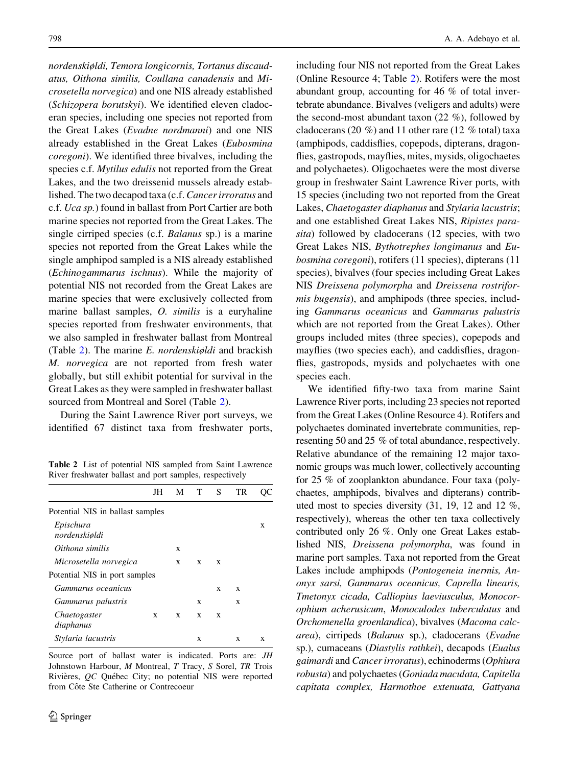nordenskiøldi, Temora longicornis, Tortanus discaudatus, Oithona similis, Coullana canadensis and Microsetella norvegica) and one NIS already established (Schizopera borutskyi). We identified eleven cladoceran species, including one species not reported from the Great Lakes (Evadne nordmanni) and one NIS already established in the Great Lakes (Eubosmina coregoni). We identified three bivalves, including the species c.f. Mytilus edulis not reported from the Great Lakes, and the two dreissenid mussels already established. The two decapod taxa (c.f.Cancer irroratus and c.f. Uca sp.) found in ballast from Port Cartier are both marine species not reported from the Great Lakes. The single cirriped species (c.f. Balanus sp.) is a marine species not reported from the Great Lakes while the single amphipod sampled is a NIS already established (Echinogammarus ischnus). While the majority of potential NIS not recorded from the Great Lakes are marine species that were exclusively collected from marine ballast samples, O. similis is a euryhaline species reported from freshwater environments, that we also sampled in freshwater ballast from Montreal (Table 2). The marine  $E$ . *nordenskiøldi* and brackish M. norvegica are not reported from fresh water globally, but still exhibit potential for survival in the Great Lakes as they were sampled in freshwater ballast sourced from Montreal and Sorel (Table 2).

During the Saint Lawrence River port surveys, we identified 67 distinct taxa from freshwater ports,

Table 2 List of potential NIS sampled from Saint Lawrence River freshwater ballast and port samples, respectively

|                                  | JH |   | M T | S | TR |   |
|----------------------------------|----|---|-----|---|----|---|
| Potential NIS in ballast samples |    |   |     |   |    |   |
| Epischura<br>nordenskiøldi       |    |   |     |   |    | X |
| Oithona similis                  |    | X |     |   |    |   |
| Microsetella norvegica           |    | X | X   | X |    |   |
| Potential NIS in port samples    |    |   |     |   |    |   |
| Gammarus oceanicus               |    |   |     | X | X  |   |
| Gammarus palustris               |    |   | X   |   | X  |   |
| Chaetogaster<br>diaphanus        | X  | X | X   | X |    |   |
| Stylaria lacustris               |    |   | X   |   | X  | X |
|                                  |    |   |     |   |    |   |

Source port of ballast water is indicated. Ports are: JH Johnstown Harbour, M Montreal, T Tracy, S Sorel, TR Trois Rivières, QC Québec City; no potential NIS were reported from Côte Ste Catherine or Contrecoeur

including four NIS not reported from the Great Lakes (Online Resource 4; Table 2). Rotifers were the most abundant group, accounting for 46 % of total invertebrate abundance. Bivalves (veligers and adults) were the second-most abundant taxon (22 %), followed by cladocerans (20 %) and 11 other rare (12 % total) taxa (amphipods, caddisflies, copepods, dipterans, dragonflies, gastropods, mayflies, mites, mysids, oligochaetes and polychaetes). Oligochaetes were the most diverse group in freshwater Saint Lawrence River ports, with 15 species (including two not reported from the Great Lakes, Chaetogaster diaphanus and Stylaria lacustris; and one established Great Lakes NIS, Ripistes parasita) followed by cladocerans (12 species, with two Great Lakes NIS, Bythotrephes longimanus and Eubosmina coregoni), rotifers (11 species), dipterans (11 species), bivalves (four species including Great Lakes NIS Dreissena polymorpha and Dreissena rostriformis bugensis), and amphipods (three species, including Gammarus oceanicus and Gammarus palustris which are not reported from the Great Lakes). Other groups included mites (three species), copepods and mayflies (two species each), and caddisflies, dragonflies, gastropods, mysids and polychaetes with one species each.

We identified fifty-two taxa from marine Saint Lawrence River ports, including 23 species not reported from the Great Lakes (Online Resource 4). Rotifers and polychaetes dominated invertebrate communities, representing 50 and 25 % of total abundance, respectively. Relative abundance of the remaining 12 major taxonomic groups was much lower, collectively accounting for 25 % of zooplankton abundance. Four taxa (polychaetes, amphipods, bivalves and dipterans) contributed most to species diversity (31, 19, 12 and 12 %, respectively), whereas the other ten taxa collectively contributed only 26 %. Only one Great Lakes established NIS, Dreissena polymorpha, was found in marine port samples. Taxa not reported from the Great Lakes include amphipods (Pontogeneia inermis, Anonyx sarsi, Gammarus oceanicus, Caprella linearis, Tmetonyx cicada, Calliopius laeviusculus, Monocorophium acherusicum, Monoculodes tuberculatus and Orchomenella groenlandica), bivalves (Macoma calcarea), cirripeds (Balanus sp.), cladocerans (Evadne sp.), cumaceans (Diastylis rathkei), decapods (Eualus gaimardi and Cancer irroratus), echinoderms (Ophiura robusta) and polychaetes (Goniada maculata, Capitella capitata complex, Harmothoe extenuata, Gattyana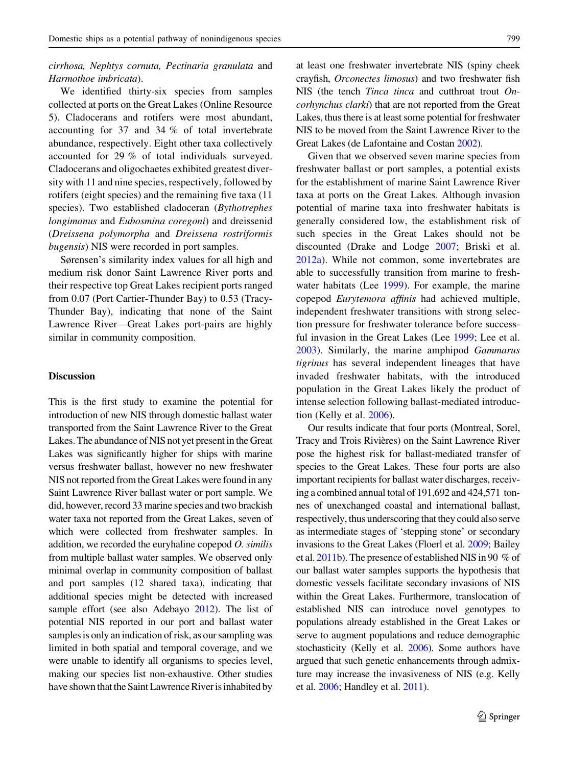## cirrhosa, Nephtys cornuta, Pectinaria granulata and Harmothoe imbricata).

We identified thirty-six species from samples collected at ports on the Great Lakes (Online Resource 5). Cladocerans and rotifers were most abundant, accounting for 37 and 34 % of total invertebrate abundance, respectively. Eight other taxa collectively accounted for 29 % of total individuals surveyed. Cladocerans and oligochaetes exhibited greatest diversity with 11 and nine species, respectively, followed by rotifers (eight species) and the remaining five taxa (11 species). Two established cladoceran (Bythotrephes longimanus and Eubosmina coregoni) and dreissenid (Dreissena polymorpha and Dreissena rostriformis bugensis) NIS were recorded in port samples.

Sørensen's similarity index values for all high and medium risk donor Saint Lawrence River ports and their respective top Great Lakes recipient ports ranged from 0.07 (Port Cartier-Thunder Bay) to 0.53 (Tracy-Thunder Bay), indicating that none of the Saint Lawrence River—Great Lakes port-pairs are highly similar in community composition.

## Discussion

This is the first study to examine the potential for introduction of new NIS through domestic ballast water transported from the Saint Lawrence River to the Great Lakes. The abundance of NIS not yet present in the Great Lakes was significantly higher for ships with marine versus freshwater ballast, however no new freshwater NIS not reported from the Great Lakes were found in any Saint Lawrence River ballast water or port sample. We did, however, record 33 marine species and two brackish water taxa not reported from the Great Lakes, seven of which were collected from freshwater samples. In addition, we recorded the euryhaline copepod  $O$ . similis from multiple ballast water samples. We observed only minimal overlap in community composition of ballast and port samples (12 shared taxa), indicating that additional species might be detected with increased sample effort (see also Adebayo [2012](#page-7-0)). The list of potential NIS reported in our port and ballast water samples is only an indication of risk, as our sampling was limited in both spatial and temporal coverage, and we were unable to identify all organisms to species level, making our species list non-exhaustive. Other studies have shown that the Saint Lawrence River is inhabited by

at least one freshwater invertebrate NIS (spiny cheek crayfish, Orconectes limosus) and two freshwater fish NIS (the tench *Tinca tinca* and cutthroat trout *On*corhynchus clarki) that are not reported from the Great Lakes, thus there is at least some potential for freshwater NIS to be moved from the Saint Lawrence River to the Great Lakes (de Lafontaine and Costan [2002](#page-7-0)).

Given that we observed seven marine species from freshwater ballast or port samples, a potential exists for the establishment of marine Saint Lawrence River taxa at ports on the Great Lakes. Although invasion potential of marine taxa into freshwater habitats is generally considered low, the establishment risk of such species in the Great Lakes should not be discounted (Drake and Lodge [2007;](#page-7-0) Briski et al. [2012a](#page-7-0)). While not common, some invertebrates are able to successfully transition from marine to freshwater habitats (Lee [1999](#page-7-0)). For example, the marine copepod Eurytemora affinis had achieved multiple, independent freshwater transitions with strong selection pressure for freshwater tolerance before successful invasion in the Great Lakes (Lee [1999](#page-7-0); Lee et al. [2003\)](#page-7-0). Similarly, the marine amphipod Gammarus tigrinus has several independent lineages that have invaded freshwater habitats, with the introduced population in the Great Lakes likely the product of intense selection following ballast-mediated introduction (Kelly et al. [2006](#page-7-0)).

Our results indicate that four ports (Montreal, Sorel, Tracy and Trois Rivières) on the Saint Lawrence River pose the highest risk for ballast-mediated transfer of species to the Great Lakes. These four ports are also important recipients for ballast water discharges, receiving a combined annual total of 191,692 and 424,571 tonnes of unexchanged coastal and international ballast, respectively, thus underscoring that they could also serve as intermediate stages of 'stepping stone' or secondary invasions to the Great Lakes (Floerl et al. [2009](#page-7-0); Bailey et al. [2011b\)](#page-7-0). The presence of established NIS in 90 % of our ballast water samples supports the hypothesis that domestic vessels facilitate secondary invasions of NIS within the Great Lakes. Furthermore, translocation of established NIS can introduce novel genotypes to populations already established in the Great Lakes or serve to augment populations and reduce demographic stochasticity (Kelly et al. [2006\)](#page-7-0). Some authors have argued that such genetic enhancements through admixture may increase the invasiveness of NIS (e.g. Kelly et al. [2006;](#page-7-0) Handley et al. [2011](#page-7-0)).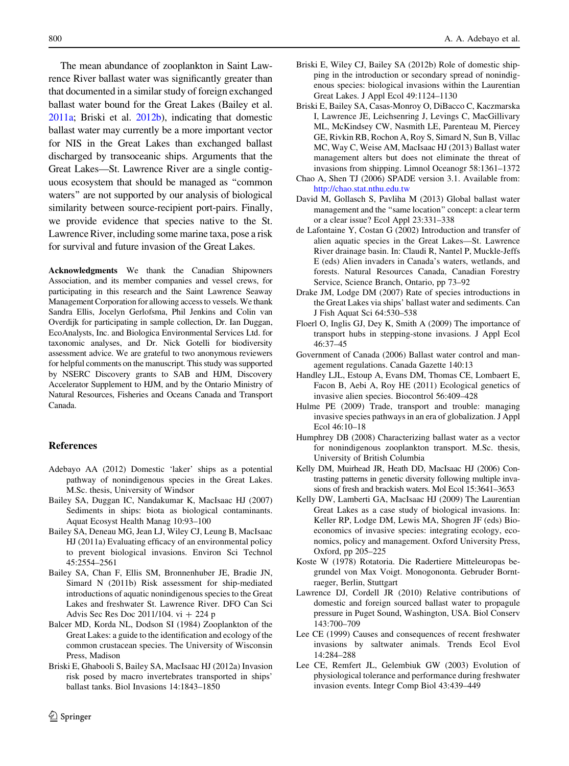<span id="page-7-0"></span>The mean abundance of zooplankton in Saint Lawrence River ballast water was significantly greater than that documented in a similar study of foreign exchanged ballast water bound for the Great Lakes (Bailey et al. 2011a; Briski et al. 2012b), indicating that domestic ballast water may currently be a more important vector for NIS in the Great Lakes than exchanged ballast discharged by transoceanic ships. Arguments that the Great Lakes—St. Lawrence River are a single contiguous ecosystem that should be managed as ''common waters'' are not supported by our analysis of biological similarity between source-recipient port-pairs. Finally, we provide evidence that species native to the St. Lawrence River, including some marine taxa, pose a risk for survival and future invasion of the Great Lakes.

Acknowledgments We thank the Canadian Shipowners Association, and its member companies and vessel crews, for participating in this research and the Saint Lawrence Seaway Management Corporation for allowing access to vessels. We thank Sandra Ellis, Jocelyn Gerlofsma, Phil Jenkins and Colin van Overdijk for participating in sample collection, Dr. Ian Duggan, EcoAnalysts, Inc. and Biologica Environmental Services Ltd. for taxonomic analyses, and Dr. Nick Gotelli for biodiversity assessment advice. We are grateful to two anonymous reviewers for helpful comments on the manuscript. This study was supported by NSERC Discovery grants to SAB and HJM, Discovery Accelerator Supplement to HJM, and by the Ontario Ministry of Natural Resources, Fisheries and Oceans Canada and Transport Canada.

#### References

- Adebayo AA (2012) Domestic 'laker' ships as a potential pathway of nonindigenous species in the Great Lakes. M.Sc. thesis, University of Windsor
- Bailey SA, Duggan IC, Nandakumar K, MacIsaac HJ (2007) Sediments in ships: biota as biological contaminants. Aquat Ecosyst Health Manag 10:93–100
- Bailey SA, Deneau MG, Jean LJ, Wiley CJ, Leung B, MacIsaac HJ (2011a) Evaluating efficacy of an environmental policy to prevent biological invasions. Environ Sci Technol 45:2554–2561
- Bailey SA, Chan F, Ellis SM, Bronnenhuber JE, Bradie JN, Simard N (2011b) Risk assessment for ship-mediated introductions of aquatic nonindigenous species to the Great Lakes and freshwater St. Lawrence River. DFO Can Sci Advis Sec Res Doc 2011/104.  $vi + 224 p$
- Balcer MD, Korda NL, Dodson SI (1984) Zooplankton of the Great Lakes: a guide to the identification and ecology of the common crustacean species. The University of Wisconsin Press, Madison
- Briski E, Ghabooli S, Bailey SA, MacIsaac HJ (2012a) Invasion risk posed by macro invertebrates transported in ships' ballast tanks. Biol Invasions 14:1843–1850
- Briski E, Wiley CJ, Bailey SA (2012b) Role of domestic shipping in the introduction or secondary spread of nonindigenous species: biological invasions within the Laurentian Great Lakes. J Appl Ecol 49:1124–1130
- Briski E, Bailey SA, Casas-Monroy O, DiBacco C, Kaczmarska I, Lawrence JE, Leichsenring J, Levings C, MacGillivary ML, McKindsey CW, Nasmith LE, Parenteau M, Piercey GE, Rivkin RB, Rochon A, Roy S, Simard N, Sun B, Villac MC, Way C, Weise AM, MacIsaac HJ (2013) Ballast water management alters but does not eliminate the threat of invasions from shipping. Limnol Oceanogr 58:1361–1372
- Chao A, Shen TJ (2006) SPADE version 3.1. Available from: <http://chao.stat.nthu.edu.tw>
- David M, Gollasch S, Pavliha M (2013) Global ballast water management and the ''same location'' concept: a clear term or a clear issue? Ecol Appl 23:331–338
- de Lafontaine Y, Costan G (2002) Introduction and transfer of alien aquatic species in the Great Lakes—St. Lawrence River drainage basin. In: Claudi R, Nantel P, Muckle-Jeffs E (eds) Alien invaders in Canada's waters, wetlands, and forests. Natural Resources Canada, Canadian Forestry Service, Science Branch, Ontario, pp 73–92
- Drake JM, Lodge DM (2007) Rate of species introductions in the Great Lakes via ships' ballast water and sediments. Can J Fish Aquat Sci 64:530–538
- Floerl O, Inglis GJ, Dey K, Smith A (2009) The importance of transport hubs in stepping-stone invasions. J Appl Ecol 46:37–45
- Government of Canada (2006) Ballast water control and management regulations. Canada Gazette 140:13
- Handley LJL, Estoup A, Evans DM, Thomas CE, Lombaert E, Facon B, Aebi A, Roy HE (2011) Ecological genetics of invasive alien species. Biocontrol 56:409–428
- Hulme PE (2009) Trade, transport and trouble: managing invasive species pathways in an era of globalization. J Appl Ecol 46:10–18
- Humphrey DB (2008) Characterizing ballast water as a vector for nonindigenous zooplankton transport. M.Sc. thesis, University of British Columbia
- Kelly DM, Muirhead JR, Heath DD, MacIsaac HJ (2006) Contrasting patterns in genetic diversity following multiple invasions of fresh and brackish waters. Mol Ecol 15:3641–3653
- Kelly DW, Lamberti GA, MacIsaac HJ (2009) The Laurentian Great Lakes as a case study of biological invasions. In: Keller RP, Lodge DM, Lewis MA, Shogren JF (eds) Bioeconomics of invasive species: integrating ecology, economics, policy and management. Oxford University Press, Oxford, pp 205–225
- Koste W (1978) Rotatoria. Die Radertiere Mitteleuropas begrundel von Max Voigt. Monogononta. Gebruder Borntraeger, Berlin, Stuttgart
- Lawrence DJ, Cordell JR (2010) Relative contributions of domestic and foreign sourced ballast water to propagule pressure in Puget Sound, Washington, USA. Biol Conserv 143:700–709
- Lee CE (1999) Causes and consequences of recent freshwater invasions by saltwater animals. Trends Ecol Evol 14:284–288
- Lee CE, Remfert JL, Gelembiuk GW (2003) Evolution of physiological tolerance and performance during freshwater invasion events. Integr Comp Biol 43:439–449